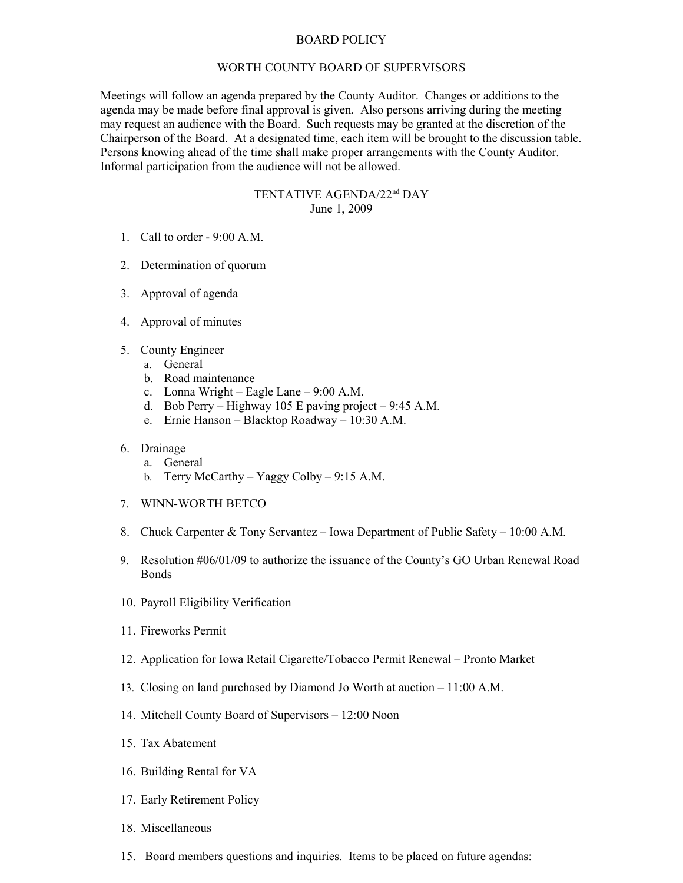## BOARD POLICY

## WORTH COUNTY BOARD OF SUPERVISORS

Meetings will follow an agenda prepared by the County Auditor. Changes or additions to the agenda may be made before final approval is given. Also persons arriving during the meeting may request an audience with the Board. Such requests may be granted at the discretion of the Chairperson of the Board. At a designated time, each item will be brought to the discussion table. Persons knowing ahead of the time shall make proper arrangements with the County Auditor. Informal participation from the audience will not be allowed.

## TENTATIVE AGENDA/22nd DAY June 1, 2009

- 1. Call to order 9:00 A.M.
- 2. Determination of quorum
- 3. Approval of agenda
- 4. Approval of minutes
- 5. County Engineer
	- a. General
	- b. Road maintenance
	- c. Lonna Wright Eagle Lane 9:00 A.M.
	- d. Bob Perry Highway 105 E paving project 9:45 A.M.
	- e. Ernie Hanson Blacktop Roadway 10:30 A.M.

## 6. Drainage

- a. General
- b. Terry McCarthy Yaggy Colby 9:15 A.M.
- 7. WINN-WORTH BETCO
- 8. Chuck Carpenter & Tony Servantez Iowa Department of Public Safety 10:00 A.M.
- 9. Resolution #06/01/09 to authorize the issuance of the County's GO Urban Renewal Road Bonds
- 10. Payroll Eligibility Verification
- 11. Fireworks Permit
- 12. Application for Iowa Retail Cigarette/Tobacco Permit Renewal Pronto Market
- 13. Closing on land purchased by Diamond Jo Worth at auction 11:00 A.M.
- 14. Mitchell County Board of Supervisors 12:00 Noon
- 15. Tax Abatement
- 16. Building Rental for VA
- 17. Early Retirement Policy
- 18. Miscellaneous
- 15. Board members questions and inquiries. Items to be placed on future agendas: